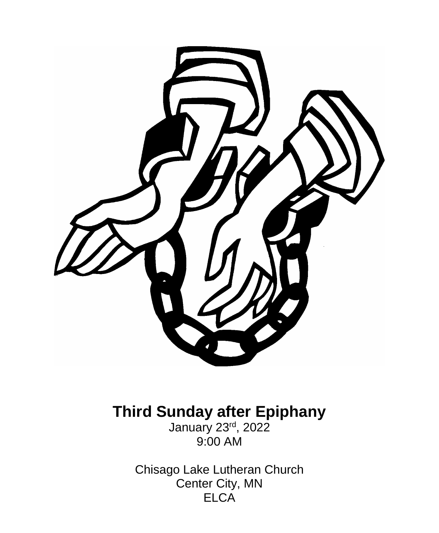

# **Third Sunday after Epiphany**

January 23rd, 2022 9:00 AM

Chisago Lake Lutheran Church Center City, MN ELCA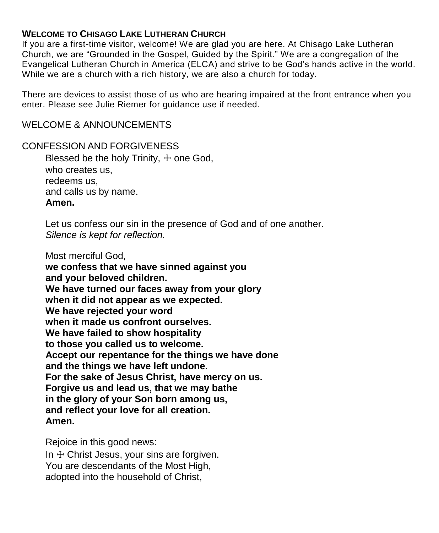### **WELCOME TO CHISAGO LAKE LUTHERAN CHURCH**

If you are a first-time visitor, welcome! We are glad you are here. At Chisago Lake Lutheran Church, we are "Grounded in the Gospel, Guided by the Spirit." We are a congregation of the Evangelical Lutheran Church in America (ELCA) and strive to be God's hands active in the world. While we are a church with a rich history, we are also a church for today.

There are devices to assist those of us who are hearing impaired at the front entrance when you enter. Please see Julie Riemer for guidance use if needed.

#### WELCOME & ANNOUNCEMENTS

CONFESSION AND FORGIVENESS Blessed be the holy Trinity, + one God. who creates us, redeems us, and calls us by name. **Amen.**

> Let us confess our sin in the presence of God and of one another. *Silence is kept for reflection.*

Most merciful God,

**we confess that we have sinned against you and your beloved children. We have turned our faces away from your glory when it did not appear as we expected. We have rejected your word when it made us confront ourselves. We have failed to show hospitality to those you called us to welcome. Accept our repentance for the things we have done and the things we have left undone. For the sake of Jesus Christ, have mercy on us. Forgive us and lead us, that we may bathe in the glory of your Son born among us, and reflect your love for all creation. Amen.**

Rejoice in this good news:

In  $+$  Christ Jesus, your sins are forgiven. You are descendants of the Most High, adopted into the household of Christ,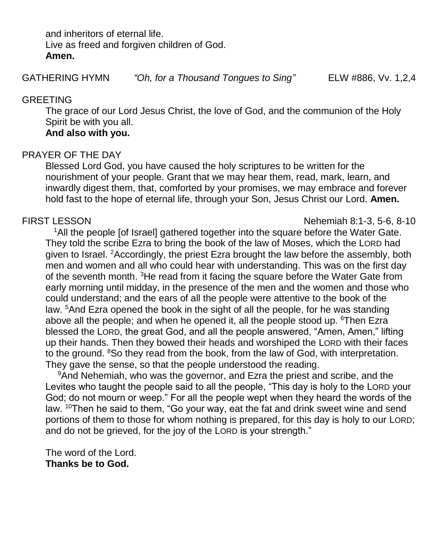and inheritors of eternal life. Live as freed and forgiven children of God. **Amen.**

GATHERING HYMN *"Oh, for a Thousand Tongues to Sing"* ELW #886, Vv. 1,2,4

#### GREETING

The grace of our Lord Jesus Christ, the love of God, and the communion of the Holy Spirit be with you all.

## **And also with you.**

## PRAYER OF THE DAY

Blessed Lord God, you have caused the holy scriptures to be written for the nourishment of your people. Grant that we may hear them, read, mark, learn, and inwardly digest them, that, comforted by your promises, we may embrace and forever hold fast to the hope of eternal life, through your Son, Jesus Christ our Lord. **Amen.**

FIRST LESSON Nehemiah 8:1-3, 5-6, 8-10

<sup>1</sup>All the people [of Israel] gathered together into the square before the Water Gate. They told the scribe Ezra to bring the book of the law of Moses, which the LORD had given to Israel. <sup>2</sup>Accordingly, the priest Ezra brought the law before the assembly, both men and women and all who could hear with understanding. This was on the first day of the seventh month. <sup>3</sup>He read from it facing the square before the Water Gate from early morning until midday, in the presence of the men and the women and those who could understand; and the ears of all the people were attentive to the book of the law. <sup>5</sup>And Ezra opened the book in the sight of all the people, for he was standing above all the people; and when he opened it, all the people stood up. <sup>6</sup>Then Ezra blessed the LORD, the great God, and all the people answered, "Amen, Amen," lifting up their hands. Then they bowed their heads and worshiped the LORD with their faces to the ground. <sup>8</sup>So they read from the book, from the law of God, with interpretation. They gave the sense, so that the people understood the reading.

<sup>9</sup>And Nehemiah, who was the governor, and Ezra the priest and scribe, and the Levites who taught the people said to all the people, "This day is holy to the LORD your God; do not mourn or weep." For all the people wept when they heard the words of the law. <sup>10</sup>Then he said to them, "Go your way, eat the fat and drink sweet wine and send portions of them to those for whom nothing is prepared, for this day is holy to our LORD; and do not be grieved, for the joy of the LORD is your strength."

The word of the Lord. **Thanks be to God.**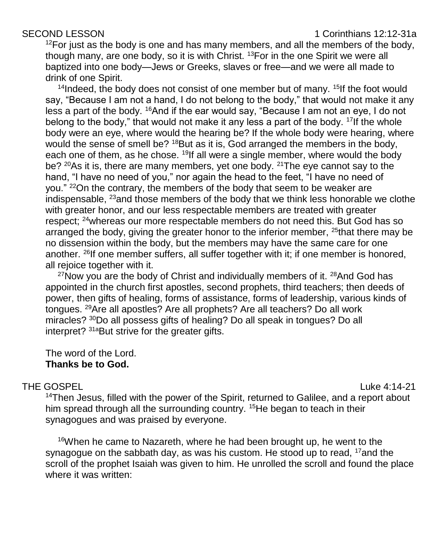#### SECOND LESSON **1** Corinthians 12:12-31a

 $12$ For just as the body is one and has many members, and all the members of the body, though many, are one body, so it is with Christ. <sup>13</sup>For in the one Spirit we were all baptized into one body—Jews or Greeks, slaves or free—and we were all made to drink of one Spirit.

 $14$ Indeed, the body does not consist of one member but of many.  $15$ If the foot would say, "Because I am not a hand, I do not belong to the body," that would not make it any less a part of the body. <sup>16</sup>And if the ear would say, "Because I am not an eye, I do not belong to the body," that would not make it any less a part of the body.  $17$  If the whole body were an eye, where would the hearing be? If the whole body were hearing, where would the sense of smell be? <sup>18</sup>But as it is, God arranged the members in the body, each one of them, as he chose. <sup>19</sup>If all were a single member, where would the body be?  $20$ As it is, there are many members, yet one body.  $21$ The eye cannot say to the hand, "I have no need of you," nor again the head to the feet, "I have no need of you." <sup>22</sup>On the contrary, the members of the body that seem to be weaker are indispensable, <sup>23</sup>and those members of the body that we think less honorable we clothe with greater honor, and our less respectable members are treated with greater respect; <sup>24</sup>whereas our more respectable members do not need this. But God has so arranged the body, giving the greater honor to the inferior member, <sup>25</sup>that there may be no dissension within the body, but the members may have the same care for one another. <sup>26</sup>If one member suffers, all suffer together with it; if one member is honored, all rejoice together with it.

 $27$ Now you are the body of Christ and individually members of it.  $28$ And God has appointed in the church first apostles, second prophets, third teachers; then deeds of power, then gifts of healing, forms of assistance, forms of leadership, various kinds of tongues. <sup>29</sup>Are all apostles? Are all prophets? Are all teachers? Do all work miracles? <sup>30</sup>Do all possess gifts of healing? Do all speak in tongues? Do all interpret? <sup>31a</sup>But strive for the greater gifts.

The word of the Lord. **Thanks be to God.**

#### THE GOSPEL And the set of the set of the set of the set of the set of the set of the set of the set of the set of the set of the set of the set of the set of the set of the set of the set of the set of the set of the set o

<sup>14</sup>Then Jesus, filled with the power of the Spirit, returned to Galilee, and a report about him spread through all the surrounding country. <sup>15</sup>He began to teach in their synagogues and was praised by everyone.

 $16$ When he came to Nazareth, where he had been brought up, he went to the synagogue on the sabbath day, as was his custom. He stood up to read,  $17$  and the scroll of the prophet Isaiah was given to him. He unrolled the scroll and found the place where it was written: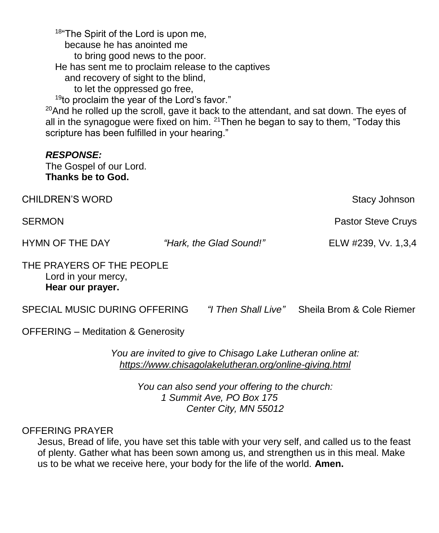18"The Spirit of the Lord is upon me, because he has anointed me to bring good news to the poor. He has sent me to proclaim release to the captives and recovery of sight to the blind, to let the oppressed go free,  $19$ to proclaim the year of the Lord's favor."  $20$ And he rolled up the scroll, gave it back to the attendant, and sat down. The eyes of all in the synagogue were fixed on him.  $21$ Then he began to say to them, "Today this scripture has been fulfilled in your hearing." *RESPONSE:* The Gospel of our Lord. **Thanks be to God.** CHILDREN'S WORD **Stacy Johnson** SERMON **Pastor Steve Cruys Pastor Steve Cruys Pastor Steve Cruys** HYMN OF THE DAY *"Hark, the Glad Sound!"* ELW #239, Vv. 1,3,4 THE PRAYERS OF THE PEOPLE Lord in your mercy, **Hear our prayer.** SPECIAL MUSIC DURING OFFERING *"I Then Shall Live"* Sheila Brom & Cole Riemer OFFERING – Meditation & Generosity

> *You are invited to give to Chisago Lake Lutheran online at: <https://www.chisagolakelutheran.org/online-giving.html>*

*You can also send your offering to the church: 1 Summit Ave, PO Box 175 Center City, MN 55012*

### OFFERING PRAYER

Jesus, Bread of life, you have set this table with your very self, and called us to the feast of plenty. Gather what has been sown among us, and strengthen us in this meal. Make us to be what we receive here, your body for the life of the world. **Amen.**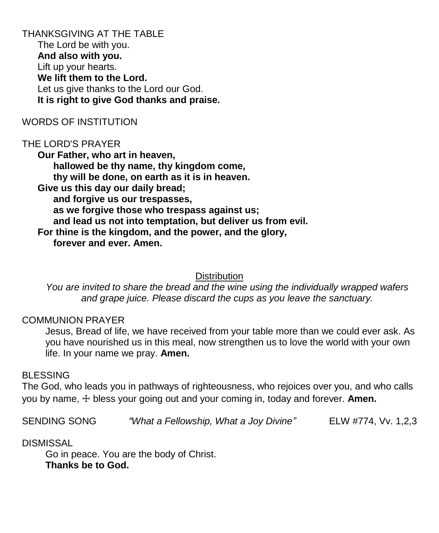THANKSGIVING AT THE TABLE The Lord be with you. **And also with you.** Lift up your hearts. **We lift them to the Lord.** Let us give thanks to the Lord our God. **It is right to give God thanks and praise.**

#### WORDS OF INSTITUTION

#### THE LORD'S PRAYER

**Our Father, who art in heaven, hallowed be thy name, thy kingdom come, thy will be done, on earth as it is in heaven. Give us this day our daily bread; and forgive us our trespasses, as we forgive those who trespass against us; and lead us not into temptation, but deliver us from evil. For thine is the kingdom, and the power, and the glory, forever and ever. Amen.**

#### **Distribution**

*You are invited to share the bread and the wine using the individually wrapped wafers and grape juice. Please discard the cups as you leave the sanctuary.*

#### COMMUNION PRAYER

Jesus, Bread of life, we have received from your table more than we could ever ask. As you have nourished us in this meal, now strengthen us to love the world with your own life. In your name we pray. **Amen.**

#### BLESSING

The God, who leads you in pathways of righteousness, who rejoices over you, and who calls you by name, ☩ bless your going out and your coming in, today and forever. **Amen.**

SENDING SONG *"What a Fellowship, What a Joy Divine"* ELW #774, Vv. 1,2,3

#### DISMISSAL

Go in peace. You are the body of Christ. **Thanks be to God.**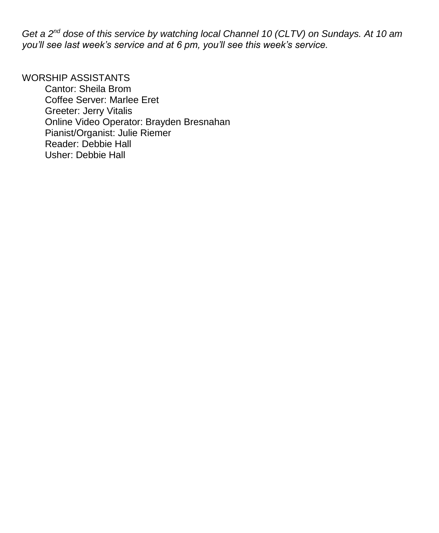*Get a 2nd dose of this service by watching local Channel 10 (CLTV) on Sundays. At 10 am you'll see last week's service and at 6 pm, you'll see this week's service.*

# WORSHIP ASSISTANTS

Cantor: Sheila Brom Coffee Server: Marlee Eret Greeter: Jerry Vitalis Online Video Operator: Brayden Bresnahan Pianist/Organist: Julie Riemer Reader: Debbie Hall Usher: Debbie Hall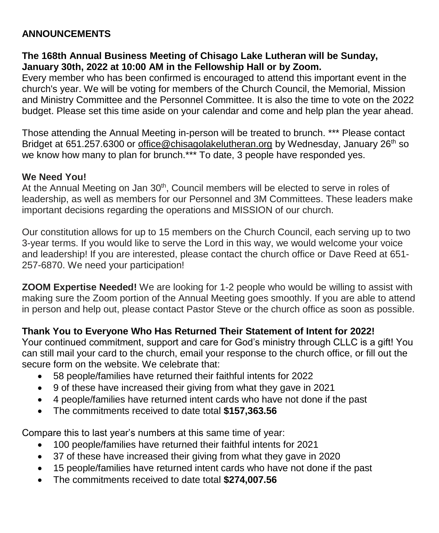# **ANNOUNCEMENTS**

# **The 168th Annual Business Meeting of Chisago Lake Lutheran will be Sunday, January 30th, 2022 at 10:00 AM in the Fellowship Hall or by Zoom.**

Every member who has been confirmed is encouraged to attend this important event in the church's year. We will be voting for members of the Church Council, the Memorial, Mission and Ministry Committee and the Personnel Committee. It is also the time to vote on the 2022 budget. Please set this time aside on your calendar and come and help plan the year ahead.

Those attending the Annual Meeting in-person will be treated to brunch. \*\*\* Please contact Bridget at 651.257.6300 or [office@chisagolakelutheran.org](mailto:office@chisagolakelutheran.org) by Wednesday, January 26<sup>th</sup> so we know how many to plan for brunch.\*\*\* To date, 3 people have responded yes.

# **We Need You!**

At the Annual Meeting on Jan 30<sup>th</sup>, Council members will be elected to serve in roles of leadership, as well as members for our Personnel and 3M Committees. These leaders make important decisions regarding the operations and MISSION of our church.

Our constitution allows for up to 15 members on the Church Council, each serving up to two 3-year terms. If you would like to serve the Lord in this way, we would welcome your voice and leadership! If you are interested, please contact the church office or Dave Reed at 651- 257-6870. We need your participation!

**ZOOM Expertise Needed!** We are looking for 1-2 people who would be willing to assist with making sure the Zoom portion of the Annual Meeting goes smoothly. If you are able to attend in person and help out, please contact Pastor Steve or the church office as soon as possible.

# **Thank You to Everyone Who Has Returned Their Statement of Intent for 2022!**

Your continued commitment, support and care for God's ministry through CLLC is a gift! You can still mail your card to the church, email your response to the church office, or fill out the secure form on the website. We celebrate that:

- 58 people/families have returned their faithful intents for 2022
- 9 of these have increased their giving from what they gave in 2021
- 4 people/families have returned intent cards who have not done if the past
- The commitments received to date total **\$157,363.56**

Compare this to last year's numbers at this same time of year:

- 100 people/families have returned their faithful intents for 2021
- 37 of these have increased their giving from what they gave in 2020
- 15 people/families have returned intent cards who have not done if the past
- The commitments received to date total **\$274,007.56**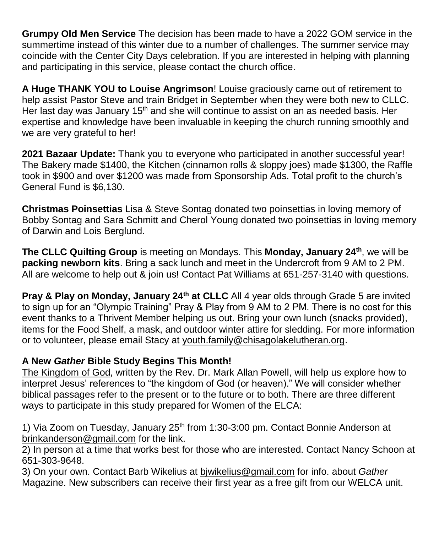**Grumpy Old Men Service** The decision has been made to have a 2022 GOM service in the summertime instead of this winter due to a number of challenges. The summer service may coincide with the Center City Days celebration. If you are interested in helping with planning and participating in this service, please contact the church office.

**A Huge THANK YOU to Louise Angrimson**! Louise graciously came out of retirement to help assist Pastor Steve and train Bridget in September when they were both new to CLLC. Her last day was January  $15<sup>th</sup>$  and she will continue to assist on an as needed basis. Her expertise and knowledge have been invaluable in keeping the church running smoothly and we are very grateful to her!

**2021 Bazaar Update:** Thank you to everyone who participated in another successful year! The Bakery made \$1400, the Kitchen (cinnamon rolls & sloppy joes) made \$1300, the Raffle took in \$900 and over \$1200 was made from Sponsorship Ads. Total profit to the church's General Fund is \$6,130.

**Christmas Poinsettias** Lisa & Steve Sontag donated two poinsettias in loving memory of Bobby Sontag and Sara Schmitt and Cherol Young donated two poinsettias in loving memory of Darwin and Lois Berglund.

**The CLLC Quilting Group** is meeting on Mondays. This **Monday, January 24th**, we will be **packing newborn kits**. Bring a sack lunch and meet in the Undercroft from 9 AM to 2 PM. All are welcome to help out & join us! Contact Pat Williams at 651-257-3140 with questions.

**Pray & Play on Monday, January 24th at CLLC** All 4 year olds through Grade 5 are invited to sign up for an "Olympic Training" Pray & Play from 9 AM to 2 PM. There is no cost for this event thanks to a Thrivent Member helping us out. Bring your own lunch (snacks provided), items for the Food Shelf, a mask, and outdoor winter attire for sledding. For more information or to volunteer, please email Stacy at youth.family@chisagolakelutheran.org.

# **A New** *Gather* **Bible Study Begins This Month!**

The Kingdom of God, written by the Rev. Dr. Mark Allan Powell, will help us explore how to interpret Jesus' references to "the kingdom of God (or heaven)." We will consider whether biblical passages refer to the present or to the future or to both. There are three different ways to participate in this study prepared for Women of the ELCA:

1) Via Zoom on Tuesday, January  $25<sup>th</sup>$  from 1:30-3:00 pm. Contact Bonnie Anderson at [brinkanderson@gmail.com](mailto:brinkanderson@gmail.com) for the link.

2) In person at a time that works best for those who are interested. Contact Nancy Schoon at 651-303-9648.

3) On your own. Contact Barb Wikelius at [bjwikelius@gmail.com](mailto:bjwikelius@gmail.com) for info. about *Gather*  Magazine. New subscribers can receive their first year as a free gift from our WELCA unit.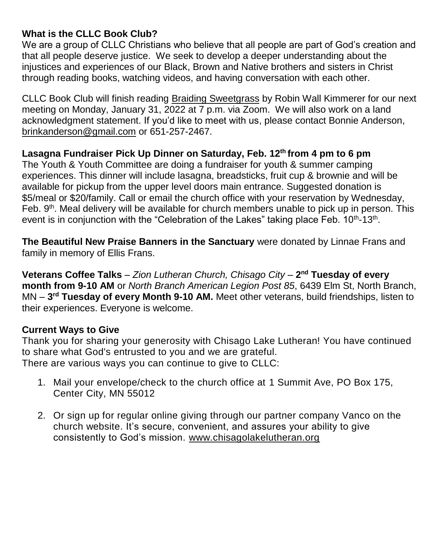# **What is the CLLC Book Club?**

We are a group of CLLC Christians who believe that all people are part of God's creation and that all people deserve justice. We seek to develop a deeper understanding about the injustices and experiences of our Black, Brown and Native brothers and sisters in Christ through reading books, watching videos, and having conversation with each other.

CLLC Book Club will finish reading Braiding Sweetgrass by Robin Wall Kimmerer for our next meeting on Monday, January 31, 2022 at 7 p.m. via Zoom. We will also work on a land acknowledgment statement. If you'd like to meet with us, please contact Bonnie Anderson, [brinkanderson@gmail.com](mailto:brinkanderson@gmail.com) or 651-257-2467.

# **Lasagna Fundraiser Pick Up Dinner on Saturday, Feb. 12th from 4 pm to 6 pm**

The Youth & Youth Committee are doing a fundraiser for youth & summer camping experiences. This dinner will include lasagna, breadsticks, fruit cup & brownie and will be available for pickup from the upper level doors main entrance. Suggested donation is \$5/meal or \$20/family. Call or email the church office with your reservation by Wednesday, Feb. 9<sup>th</sup>. Meal delivery will be available for church members unable to pick up in person. This event is in conjunction with the "Celebration of the Lakes" taking place Feb. 10<sup>th</sup>-13<sup>th</sup>.

**The Beautiful New Praise Banners in the Sanctuary** were donated by Linnae Frans and family in memory of Ellis Frans.

**Veterans Coffee Talks** – *Zion Lutheran Church, Chisago City* – **2 nd Tuesday of every month from 9-10 AM** or *North Branch American Legion Post 85*, 6439 Elm St, North Branch, MN – **3 rd Tuesday of every Month 9-10 AM.** Meet other veterans, build friendships, listen to their experiences. Everyone is welcome.

# **Current Ways to Give**

Thank you for sharing your generosity with Chisago Lake Lutheran! You have continued to share what God's entrusted to you and we are grateful. There are various ways you can continue to give to CLLC:

- 1. Mail your envelope/check to the church office at 1 Summit Ave, PO Box 175, Center City, MN 55012
- 2. Or sign up for regular online giving through our partner company Vanco on the church [website.](https://www.eservicepayments.com/cgi-bin/Vanco_ver3.vps?appver3=wWsk24ZWJSTZKsGd1RMKlg0BDvsSG3VIWQCPJNNxD8upkiY7JlDavDsozUE7KG0nFx2NSo8LdUKGuGuF396vbUm5LNljBPNnBOEFTzKhxx-XHubq5Z7ap5JVmPErc4ZeYHCKCZhESjGNQmZ5B-6dx3x8KCRzq4DlLabxS1KshoM=&ver=3) It's secure, convenient, and assures your ability to give consistently to God's mission. [www.chisagolakelutheran.org](http://www.chisagolakelutheran.org/)